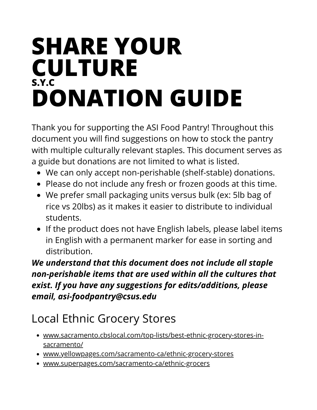#### **SHARE YOUR CULTURE S.Y.C DONATION GUIDE**

Thank you for supporting the ASI Food Pantry! Throughout this document you will find suggestions on how to stock the pantry with multiple culturally relevant staples. This document serves as a guide but donations are not limited to what is listed.

- We can only accept non-perishable (shelf-stable) donations.
- Please do not include any fresh or frozen goods at this time.
- We prefer small packaging units versus bulk (ex: 5lb bag of rice vs 20lbs) as it makes it easier to distribute to individual students.
- If the product does not have English labels, please label items in English with a permanent marker for ease in sorting and distribution.

*We understand that this document does not include all staple non-perishable items that are used within all the cultures that exist. If you have any suggestions for edits/additions, please email, asi-foodpantry@csus.edu*

#### Local Ethnic Grocery Stores

- [www.sacramento.cbslocal.com/top-lists/best-ethnic-grocery-stores-in](http://www.sacramento.cbslocal.com/top-lists/best-ethnic-grocery-stores-in-sacramento/)sacramento/
- www.yellowpages.com/sacramento-ca/ethnic-grocery-stores
- www.superpages.com/sacramento-ca/ethnic-grocers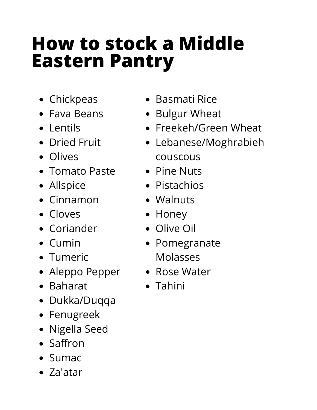# **How to stock a Middle Eastern Pantry**

- Chickpeas
- Fava Beans
- Lentils
- Dried Fruit
- Olives
- Tomato Paste
- Allspice
- Cinnamon
- Cloves
- Coriander
- Cumin
- Tumeric
- Aleppo Pepper
- Baharat
- Dukka/Duqqa
- Fenugreek
- Nigella Seed
- Saffron
- Sumac
- Za'atar
- Basmati Rice
- Bulgur Wheat
- Freekeh/Green Wheat
- Lebanese/Moghrabieh couscous
- Pine Nuts
- Pistachios
- Walnuts
- Honey
- Olive Oil
- Pomegranate Molasses
- Rose Water
- Tahini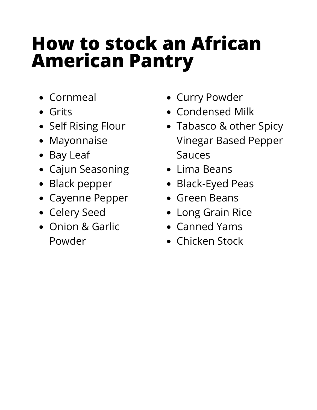## **How to stock an African American Pantry**

- Cornmeal
- Grits
- Self Rising Flour
- Mayonnaise
- Bay Leaf
- Cajun Seasoning
- Black pepper
- Cayenne Pepper
- Celery Seed
- Onion & Garlic Powder
- Curry Powder
- Condensed Milk
- Tabasco & other Spicy Vinegar Based Pepper Sauces
- $\bullet$  Lima Beans
- Black-Eyed Peas
- Green Beans
- Long Grain Rice
- Canned Yams
- Chicken Stock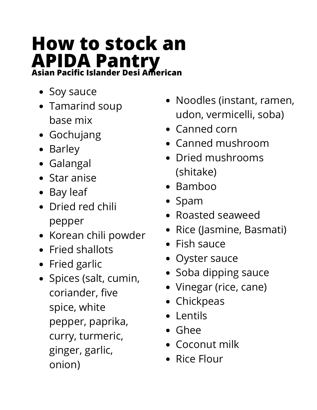# **How to stock an APIDA Pantry Asian Pacific Islander Desi American**

- Soy sauce
- Tamarind soup base mix
- Gochujang
- Barley
- Galangal
- Star anise
- Bay leaf
- Dried red chili pepper
- Korean chili powder
- Fried shallots
- Fried garlic
- Spices (salt, cumin, coriander, five spice, white pepper, paprika, curry, turmeric, ginger, garlic, onion)
- Noodles (instant, ramen, udon, vermicelli, soba)
- Canned corn
- Canned mushroom
- Dried mushrooms (shitake)
- Bamboo
- Spam
- Roasted seaweed
- Rice (Jasmine, Basmati)
- Fish sauce
- Oyster sauce
- Soba dipping sauce
- Vinegar (rice, cane)
- Chickpeas
- Lentils
- Ghee
- Coconut milk
- Rice Flour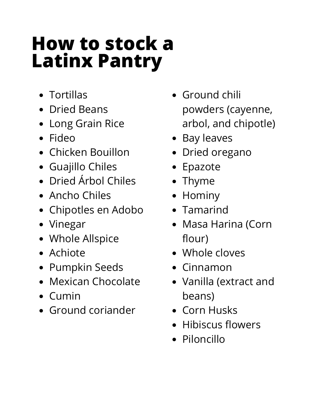### **How to stock a Latinx Pantry**

- Tortillas
- Dried Beans
- Long Grain Rice
- Fideo
- Chicken Bouillon
- Guajillo Chiles
- Dried Árbol Chiles
- Ancho Chiles
- Chipotles en Adobo
- Vinegar
- Whole Allspice
- Achiote
- Pumpkin Seeds
- Mexican Chocolate
- Cumin
- Ground coriander
- Ground chili powders (cayenne, arbol, and chipotle)
- Bay leaves
- Dried oregano
- Epazote
- Thyme
- Hominy
- Tamarind
- Masa Harina (Corn flour)
- Whole cloves
- Cinnamon
- Vanilla (extract and beans)
- Corn Husks
- Hibiscus flowers
- Piloncillo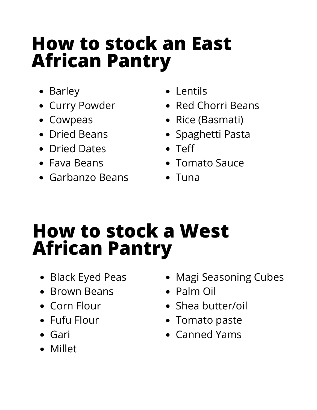### **How to stock an East African Pantry**

- Barley
- Curry Powder
- Cowpeas
- Dried Beans
- Dried Dates
- Fava Beans
- Garbanzo Beans
- Lentils
- Red Chorri Beans
- Rice (Basmati)
- Spaghetti Pasta
- Teff
- Tomato Sauce
- $\bullet$  Tuna

# **How to stock a West African Pantry**

- Black Eyed Peas
- Brown Beans
- Corn Flour
- Fufu Flour
- Gari
- Millet
- Magi Seasoning Cubes
- Palm Oil
- Shea butter/oil
- Tomato paste
- Canned Yams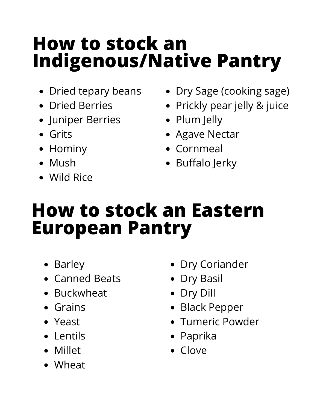# **How to stock an Indigenous/Native Pantry**

- Dried tepary beans
- Dried Berries
- **•** Juniper Berries
- Grits
- Hominy
- Mush
- Wild Rice
- Dry Sage (cooking sage)
- Prickly pear jelly & juice
- Plum Jelly
- Agave Nectar
- Cornmeal
- Buffalo Jerky

## **How to stock an Eastern European Pantry**

- Barley
- Canned Beats
- Buckwheat
- Grains
- Yeast
- Lentils
- Millet
- Wheat
- Dry Coriander
- Dry Basil
- Dry Dill
- Black Pepper
- Tumeric Powder
- Paprika
- Clove